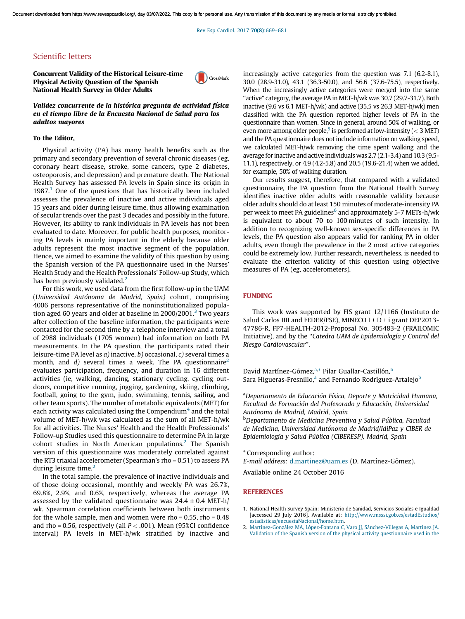Rev Esp Cardiol. 2017;70(8)[:669–681](http://dx.doi.org/10.1016/j.rec.2016.09.019)

# Scientific letters

Concurrent Validity of the Historical Leisure-time Physical Activity Question of the Spanish National Health Survey in Older Adults



Validez concurrente de la histórica pregunta de actividad física en el tiempo libre de la Encuesta Nacional de Salud para los adultos mayores

#### To the Editor,

Physical activity (PA) has many health benefits such as the primary and secondary prevention of several chronic diseases (eg, coronary heart disease, stroke, some cancers, type 2 diabetes, osteoporosis, and depression) and premature death. The National Health Survey has assessed PA levels in Spain since its origin in 1987.<sup>1</sup> One of the questions that has historically been included assesses the prevalence of inactive and active individuals aged 15 years and older during leisure time, thus allowing examination of secular trends over the past 3 decades and possibly in the future. However, its ability to rank individuals in PA levels has not been evaluated to date. Moreover, for public health purposes, monitoring PA levels is mainly important in the elderly because older adults represent the most inactive segment of the population. Hence, we aimed to examine the validity of this question by using the Spanish version of the PA questionnaire used in the Nurses' Health Study and the Health Professionals' Follow-up Study, which has been previously validated. $<sup>2</sup>$ </sup>

For this work, we used data from the first follow-up in the UAM (*Universidad Auto´noma de Madrid, Spain)* cohort, comprising 4006 persons representative of the noninstitutionalized popula-tion aged 60 years and older at baseline in 2000/2001.<sup>[3](#page-1-0)</sup> Two years after collection of the baseline information, the participants were contacted for the second time by a telephone interview and a total of 2988 individuals (1705 women) had information on both PA measurements. In the PA question, the participants rated their leisure-time PA level as *a)* inactive, *b)* occasional, *c)* several times a month, and *d*) several times a week. The PA questionnaire<sup>2</sup> evaluates participation, frequency, and duration in 16 different activities (ie, walking, dancing, stationary cycling, cycling outdoors, competitive running, jogging, gardening, skiing, climbing, football, going to the gym, judo, swimming, tennis, sailing, and other team sports). The number of metabolic equivalents (MET) for each activity was calculated using the Compendium $^4$  $^4$  and the total volume of MET-h/wk was calculated as the sum of all MET-h/wk for all activities. The Nurses' Health and the Health Professionals' Follow-up Studies used this questionnaire to determine PA in large cohort studies in North American populations.<sup>2</sup> The Spanish version of this questionnaire was moderately correlated against the RT3 triaxial accelerometer (Spearman's rho = 0.51) to assess PA during leisure time.<sup>2</sup>

In the total sample, the prevalence of inactive individuals and of those doing occasional, monthly and weekly PA was 26.7%, 69.8%, 2.9%, and 0.6%, respectively, whereas the average PA assessed by the validated questionnaire was  $24.4 \pm 0.4$  MET-h/ wk. Spearman correlation coefficients between both instruments for the whole sample, men and women were rho =  $0.55$ , rho =  $0.48$ and rho = 0.56, respectively (all  $P < .001$ ). Mean (95%CI confidence interval) PA levels in MET-h/wk stratified by inactive and increasingly active categories from the question was 7.1 (6.2-8.1), 30.0 (28.9-31.0), 43.1 (36.3-50.0), and 56.6 (37.6-75.5), respectively. When the increasingly active categories were merged into the same "active" category, the average PA in MET-h/wk was 30.7 (29.7-31.7). Both inactive (9.6 vs 6.1 MET-h/wk) and active (35.5 vs 26.3 MET-h/wk) men classified with the PA question reported higher levels of PA in the questionnaire than women. Since in general, around 50% of walking, or even more among older people, $^5$  $^5$  is performed at low-intensity (  $<$  3 MET) and the PA questionnaire does not include information on walking speed, we calculated MET-h/wk removing the time spent walking and the average for inactive and active individuals was 2.7 (2.1-3.4) and 10.3 (9.5- 11.1), respectively, or 4.9 (4.2-5.8) and 20.5 (19.6-21.4) when we added, for example, 50% of walking duration.

Our results suggest, therefore, that compared with a validated questionnaire, the PA question from the National Health Survey identifies inactive older adults with reasonable validity because older adults should do atleast 150 minutes of moderate-intensity PA per week to meet PA guidelines<sup>[6](#page-1-0)</sup> and approximately 5-7 METs-h/wk is equivalent to about 70 to 100 minutes of such intensity. In addition to recognizing well-known sex-specific differences in PA levels, the PA question also appears valid for ranking PA in older adults, even though the prevalence in the 2 most active categories could be extremely low. Further research, nevertheless, is needed to evaluate the criterion validity of this question using objective measures of PA (eg, accelerometers).

## FUNDING

This work was supported by FIS grant 12/1166 (Instituto de Salud Carlos IIII and FEDER/FSE), MINECO I + D + i grant DEP2013-47786-R, FP7-HEALTH-2012-Proposal No. 305483-2 (FRAILOMIC Initiative), and by the ''*Catedra UAM de Epidemiologı´a y Control del Riesgo Cardiovascular*''.

David Martínez-Gómez,<sup>a,\*</sup> Pilar Guallar-Castillón,<sup>b</sup> Sara Higueras-Fresnillo,<sup>a</sup> and Fernando Rodríguez-Artalejo<sup>b</sup>

<sup>a</sup>*Departamento de Educacio´n Fı´sica, Deporte y Motricidad Humana, Facultad de Formacio´n del Profesorado y Educacio´n, Universidad Auto´noma de Madrid, Madrid, Spain*

<sup>b</sup>*Departamento de Medicina Preventiva y Salud Pu´blica, Facultad de Medicina, Universidad Auto´noma de Madrid/IdiPaz y CIBER de Epidemiologı´a y Salud Pu´blica (CIBERESP), Madrid, Spain*

\* Corresponding author:

*E-mail address: [d.martinez@uam.es](mailto:d.martinez@uam.es) (D. Martínez-Gómez).* 

Available online 24 October 2016

#### **REFERENCES**

- 1. National Health Survey Spain: Ministerio de Sanidad, Servicios Sociales e Igualdad [accessed 29 July 2016]. Available at: [http://www.msssi.gob.es/estadEstudios/](http://www.msssi.gob.es/estadEstudios/estadisticas/encuestaNacional/home.htm) [estadisticas/encuestaNacional/home.htm.](http://www.msssi.gob.es/estadEstudios/estadisticas/encuestaNacional/home.htm)
- 2. Martínez-González MA, López-Fontana C, Varo JJ, Sánchez-Villegas A, Martinez JA. Validation of the Spanish version of the physical activity [questionnaire](http://refhub.elsevier.com/S1885-5857(16)30284-5/sbref0040) used in the